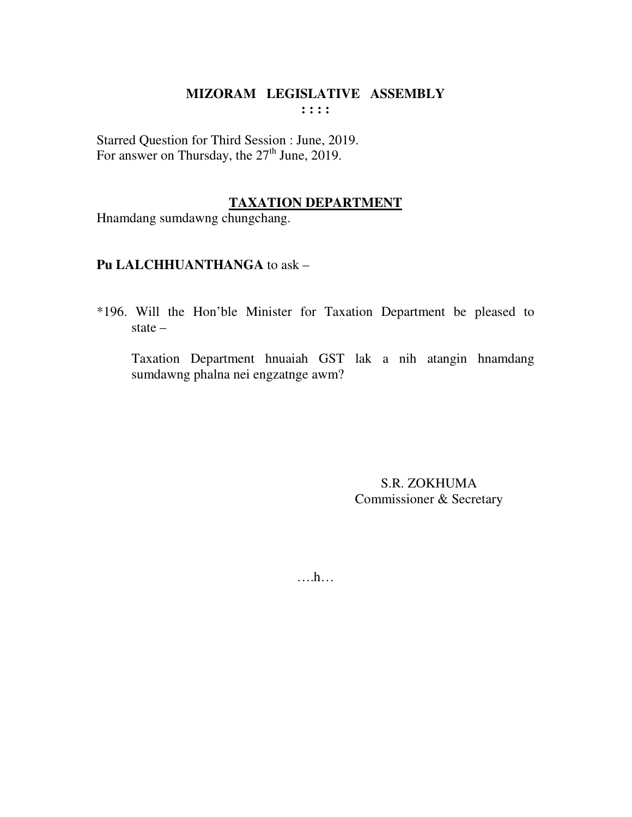Starred Question for Third Session : June, 2019. For answer on Thursday, the  $27<sup>th</sup>$  June, 2019.

# **TAXATION DEPARTMENT**

Hnamdang sumdawng chungchang.

# **Pu LALCHHUANTHANGA** to ask –

\*196. Will the Hon'ble Minister for Taxation Department be pleased to state –

 Taxation Department hnuaiah GST lak a nih atangin hnamdang sumdawng phalna nei engzatnge awm?

> S.R. ZOKHUMA Commissioner & Secretary

….h…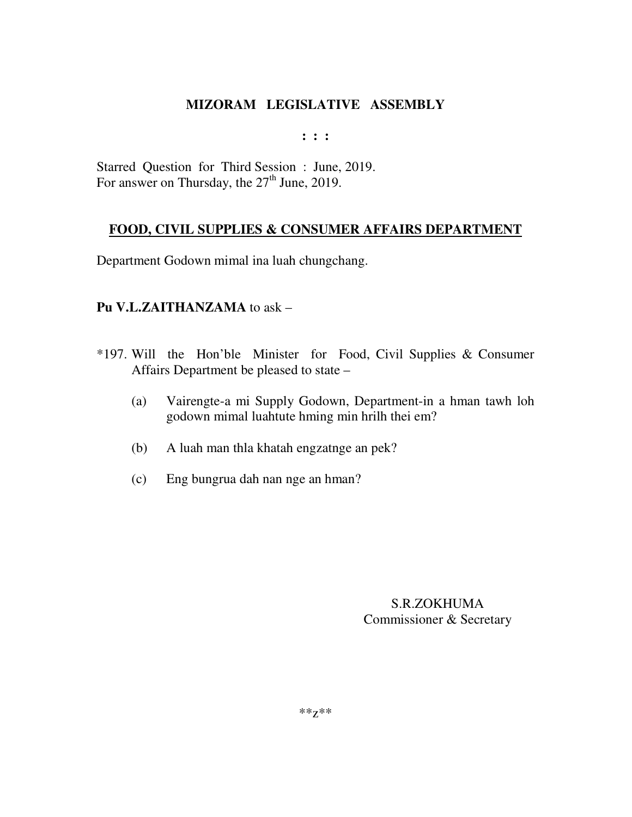**: : :** 

Starred Question for Third Session : June, 2019. For answer on Thursday, the 27<sup>th</sup> June, 2019.

# **FOOD, CIVIL SUPPLIES & CONSUMER AFFAIRS DEPARTMENT**

Department Godown mimal ina luah chungchang.

# **Pu V.L.ZAITHANZAMA** to ask –

- \*197. Will the Hon'ble Minister for Food, Civil Supplies & Consumer Affairs Department be pleased to state –
	- (a) Vairengte-a mi Supply Godown, Department-in a hman tawh loh godown mimal luahtute hming min hrilh thei em?
	- (b) A luah man thla khatah engzatnge an pek?
	- (c) Eng bungrua dah nan nge an hman?

S.R.ZOKHUMA Commissioner & Secretary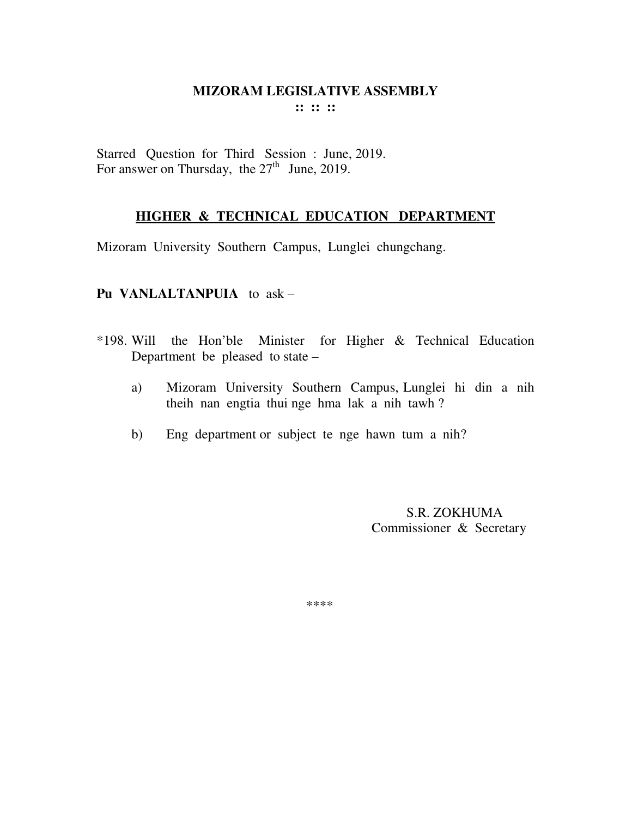Starred Question for Third Session : June, 2019. For answer on Thursday, the  $27<sup>th</sup>$  June, 2019.

# **HIGHER & TECHNICAL EDUCATION DEPARTMENT**

Mizoram University Southern Campus, Lunglei chungchang.

# **Pu VANLALTANPUIA** to ask –

- \*198. Will the Hon'ble Minister for Higher & Technical Education Department be pleased to state –
	- a) Mizoram University Southern Campus, Lunglei hi din a nih theih nan engtia thui nge hma lak a nih tawh ?
	- b) Eng department or subject te nge hawn tum a nih?

 S.R. ZOKHUMA Commissioner & Secretary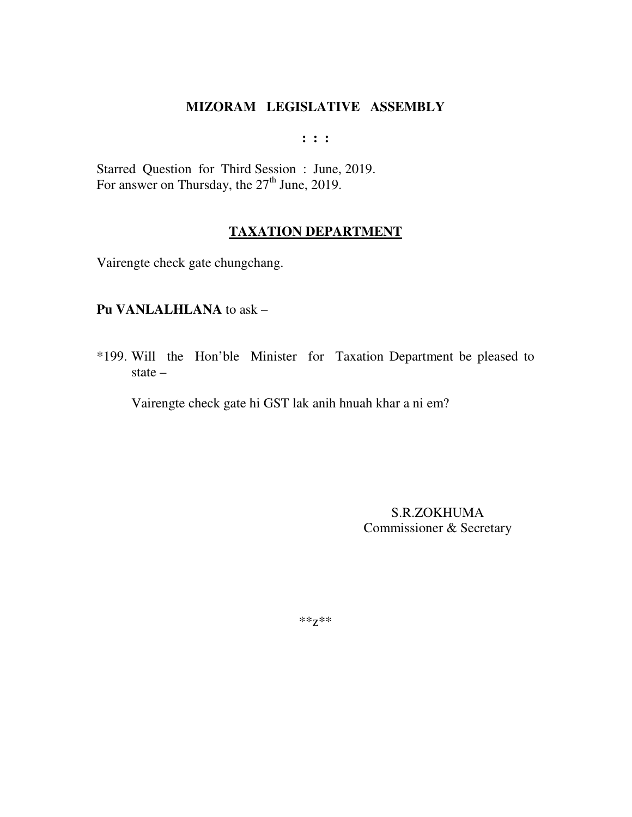$: : :$ 

Starred Question for Third Session: June, 2019.<br>For answer on Thursday, the 27<sup>th</sup> June, 2019.

# **TAXATION DEPARTMENT**

Vairengte check gate chungchang.

#### Pu VANLALHLANA to ask -

\*199. Will the Hon'ble Minister for Taxation Department be pleased to state  $-$ 

Vairengte check gate hi GST lak anih hnuah khar a ni em?

S.R.ZOKHUMA Commissioner & Secretary

 $***Z***$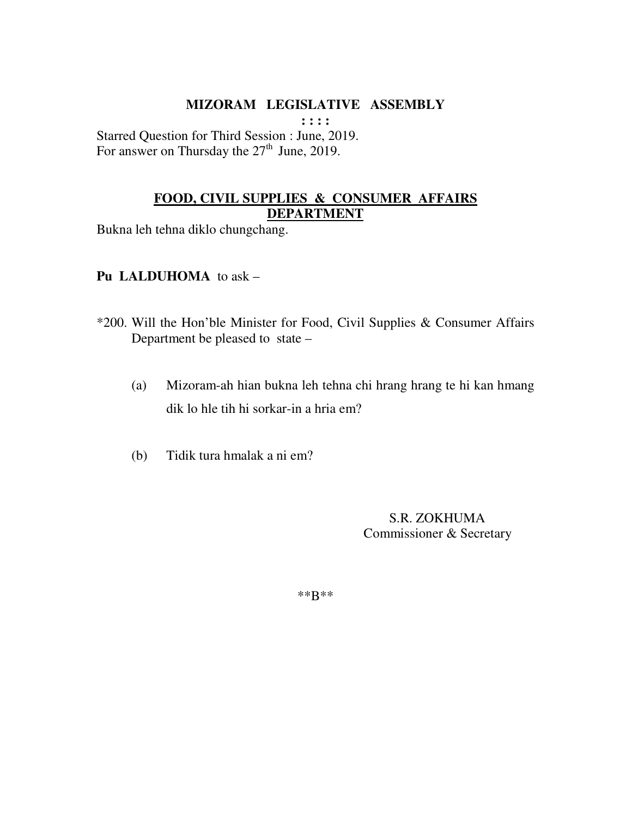**: : : :** 

Starred Question for Third Session : June, 2019. For answer on Thursday the  $27<sup>th</sup>$  June, 2019.

# **FOOD, CIVIL SUPPLIES & CONSUMER AFFAIRS DEPARTMENT**

Bukna leh tehna diklo chungchang.

# **Pu LALDUHOMA** to ask –

- \*200. Will the Hon'ble Minister for Food, Civil Supplies & Consumer Affairs Department be pleased to state –
	- (a) Mizoram-ah hian bukna leh tehna chi hrang hrang te hi kan hmang dik lo hle tih hi sorkar-in a hria em?
	- (b) Tidik tura hmalak a ni em?

 S.R. ZOKHUMA Commissioner & Secretary

\*\*B\*\*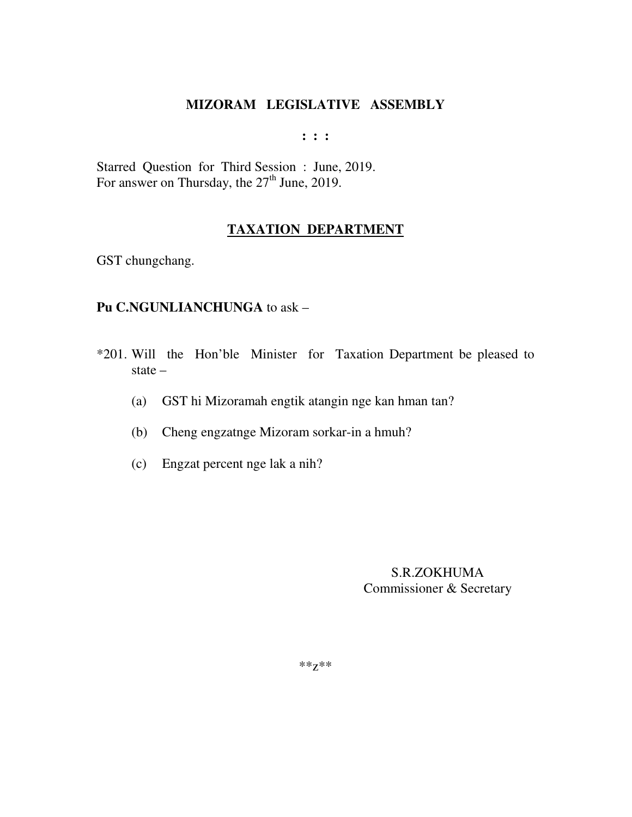**: : :** 

Starred Question for Third Session : June, 2019. For answer on Thursday, the  $27<sup>th</sup>$  June, 2019.

# **TAXATION DEPARTMENT**

GST chungchang.

# **Pu C.NGUNLIANCHUNGA** to ask –

- \*201. Will the Hon'ble Minister for Taxation Department be pleased to state –
	- (a) GST hi Mizoramah engtik atangin nge kan hman tan?
	- (b) Cheng engzatnge Mizoram sorkar-in a hmuh?
	- (c) Engzat percent nge lak a nih?

S.R.ZOKHUMA Commissioner & Secretary

\*\*z\*\*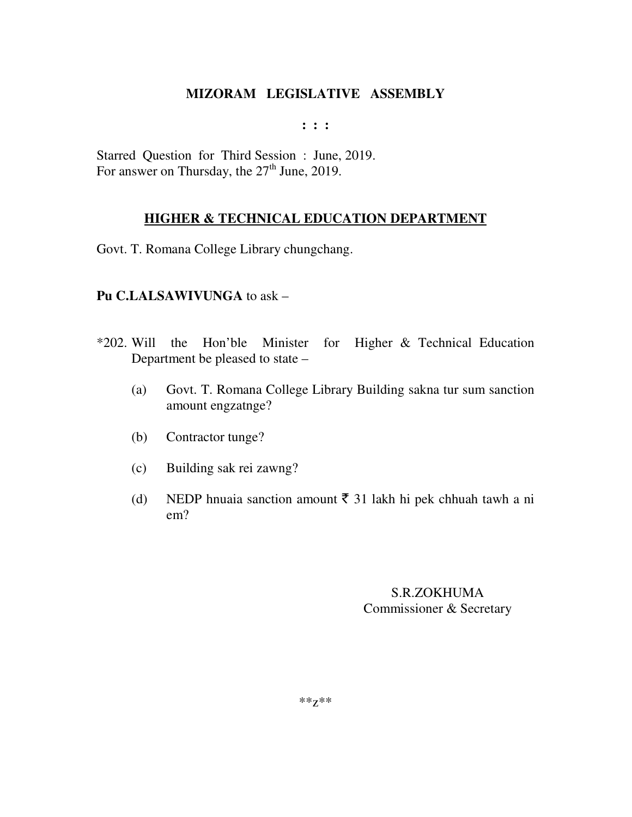$: : :$ 

Starred Question for Third Session: June, 2019. For answer on Thursday, the 27<sup>th</sup> June, 2019.

# **HIGHER & TECHNICAL EDUCATION DEPARTMENT**

Govt. T. Romana College Library chungchang.

# Pu C.LALSAWIVUNGA to ask -

- for Higher & Technical Education \*202. Will the Hon'ble Minister Department be pleased to state –
	- Govt. T. Romana College Library Building sakna tur sum sanction (a) amount engzatnge?
	- Contractor tunge?  $(b)$
	- $(c)$ Building sak rei zawng?
	- NEDP hnuaia sanction amount  $\bar{\tau}$  31 lakh hi pek chhuah tawh a ni  $(d)$  $em?$

# **S.R.ZOKHUMA** Commissioner & Secretary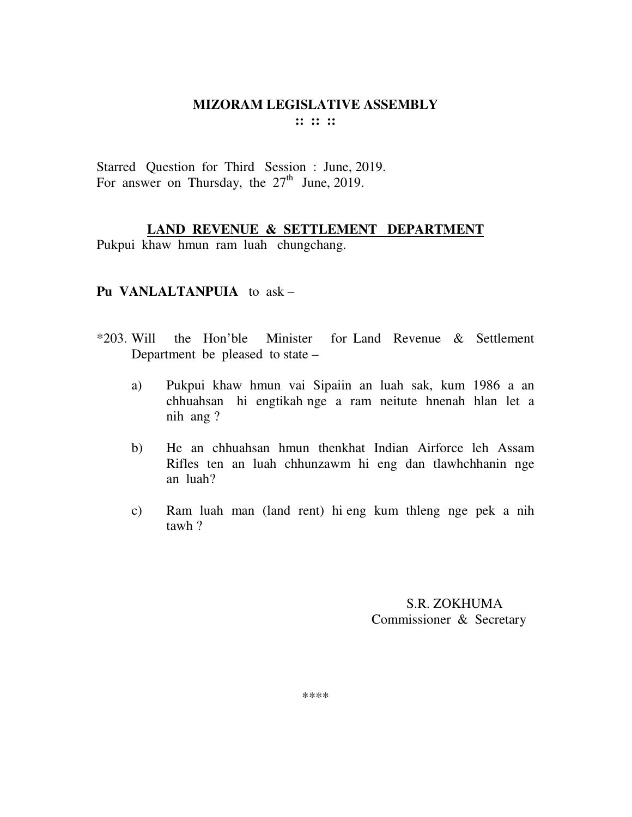Starred Question for Third Session : June, 2019. For answer on Thursday, the  $27<sup>th</sup>$  June, 2019.

**LAND REVENUE & SETTLEMENT DEPARTMENT**

Pukpui khaw hmun ram luah chungchang.

# **Pu VANLALTANPUIA** to ask –

- \*203. Will the Hon'ble Minister for Land Revenue & Settlement Department be pleased to state –
	- a) Pukpui khaw hmun vai Sipaiin an luah sak, kum 1986 a an chhuahsan hi engtikah nge a ram neitute hnenah hlan let a nih ang ?
	- b) He an chhuahsan hmun thenkhat Indian Airforce leh Assam Rifles ten an luah chhunzawm hi eng dan tlawhchhanin nge an luah?
	- c) Ram luah man (land rent) hi eng kum thleng nge pek a nih tawh ?

 S.R. ZOKHUMA Commissioner & Secretary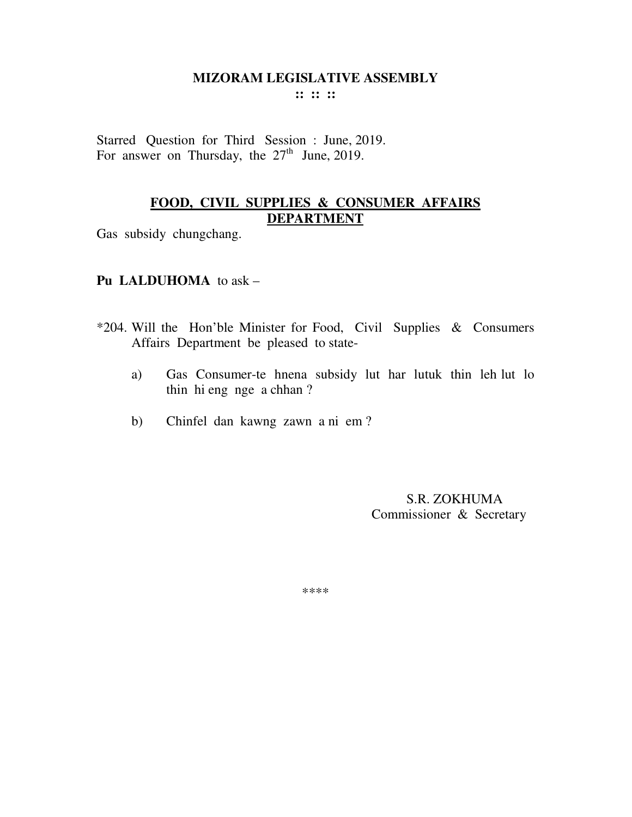**:: :: ::** 

Starred Question for Third Session : June, 2019. For answer on Thursday, the  $27<sup>th</sup>$  June, 2019.

### **FOOD, CIVIL SUPPLIES & CONSUMER AFFAIRS DEPARTMENT**

Gas subsidy chungchang.

### **Pu LALDUHOMA** to ask –

- \*204. Will the Hon'ble Minister for Food, Civil Supplies & Consumers Affairs Department be pleased to state
	- a) Gas Consumer-te hnena subsidy lut har lutuk thin leh lut lo thin hi eng nge a chhan ?
	- b) Chinfel dan kawng zawn a ni em ?

 S.R. ZOKHUMA Commissioner & Secretary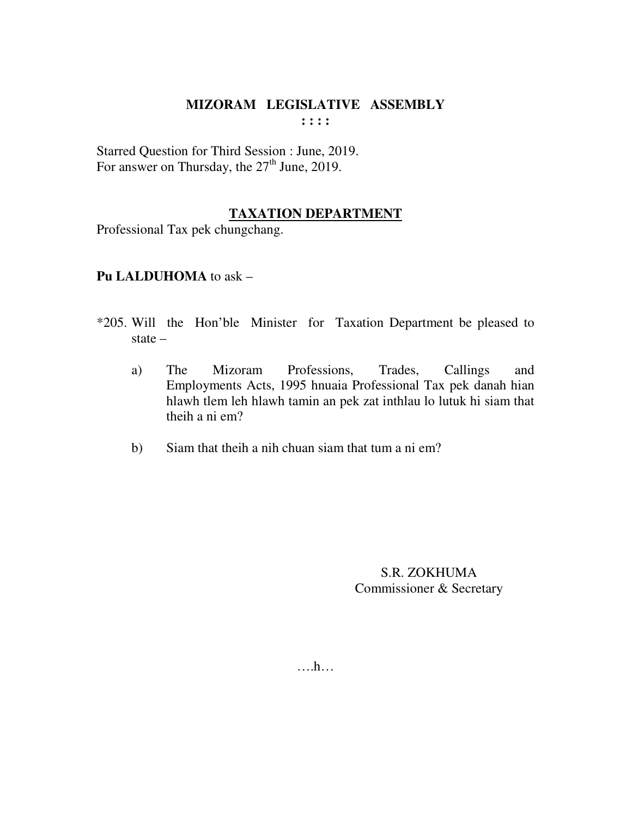Starred Question for Third Session : June, 2019. For answer on Thursday, the  $27<sup>th</sup>$  June, 2019.

# **TAXATION DEPARTMENT**

Professional Tax pek chungchang.

# **Pu LALDUHOMA** to ask –

- \*205. Will the Hon'ble Minister for Taxation Department be pleased to state –
	- a) The Mizoram Professions, Trades, Callings and Employments Acts, 1995 hnuaia Professional Tax pek danah hian hlawh tlem leh hlawh tamin an pek zat inthlau lo lutuk hi siam that theih a ni em?
	- b) Siam that theih a nih chuan siam that tum a ni em?

S.R. ZOKHUMA Commissioner & Secretary

….h…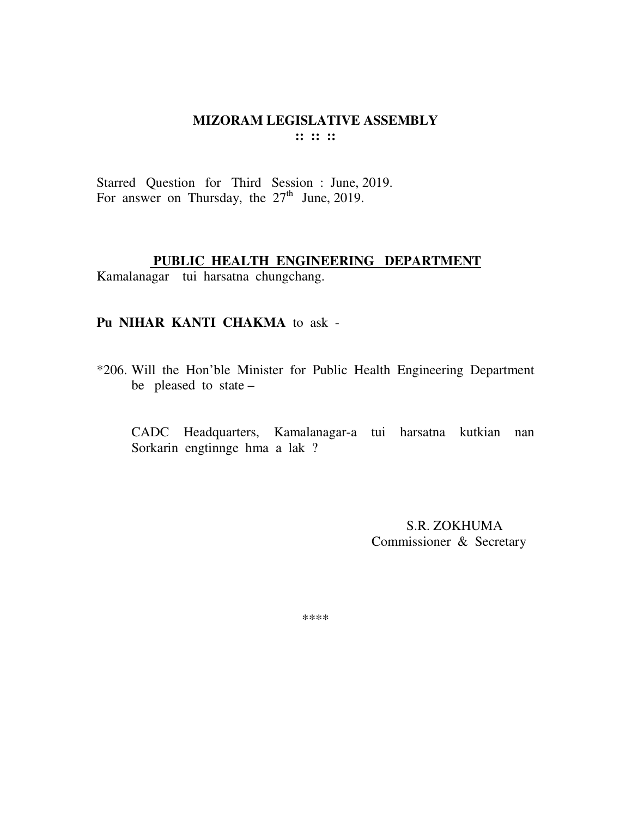Starred Question for Third Session : June, 2019. For answer on Thursday, the  $27<sup>th</sup>$  June, 2019.

#### **PUBLIC HEALTH ENGINEERING DEPARTMENT**

Kamalanagar tui harsatna chungchang.

#### **Pu NIHAR KANTI CHAKMA** to ask -

\*206. Will the Hon'ble Minister for Public Health Engineering Department be pleased to state –

CADC Headquarters, Kamalanagar-a tui harsatna kutkian nan Sorkarin engtinnge hma a lak ?

> S.R. ZOKHUMA Commissioner & Secretary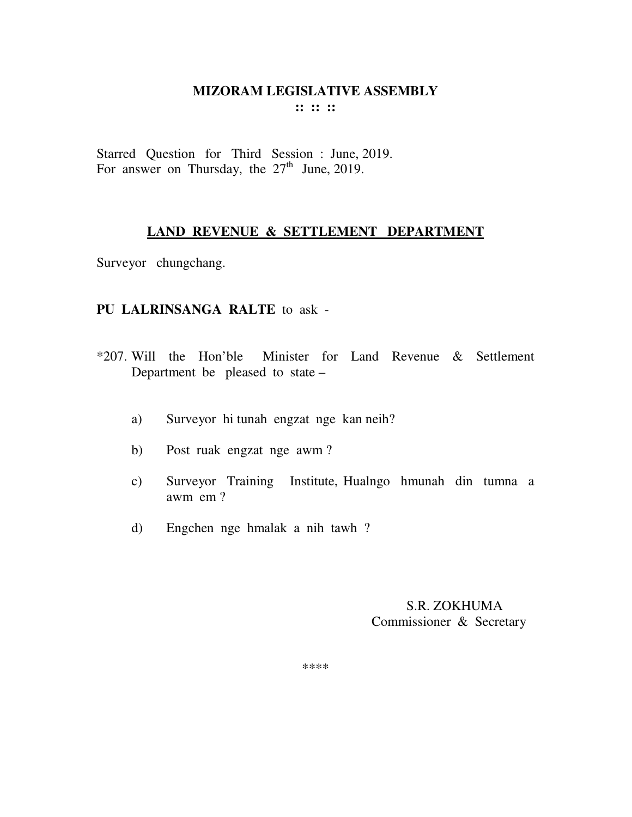Starred Question for Third Session : June, 2019. For answer on Thursday, the  $27<sup>th</sup>$  June, 2019.

# **LAND REVENUE & SETTLEMENT DEPARTMENT**

Surveyor chungchang.

### **PU LALRINSANGA RALTE** to ask -

- \*207. Will the Hon'ble Minister for Land Revenue & Settlement Department be pleased to state –
	- a) Surveyor hi tunah engzat nge kan neih?
	- b) Post ruak engzat nge awm ?
	- c) Surveyor Training Institute, Hualngo hmunah din tumna a awm em ?
	- d) Engchen nge hmalak a nih tawh ?

 S.R. ZOKHUMA Commissioner & Secretary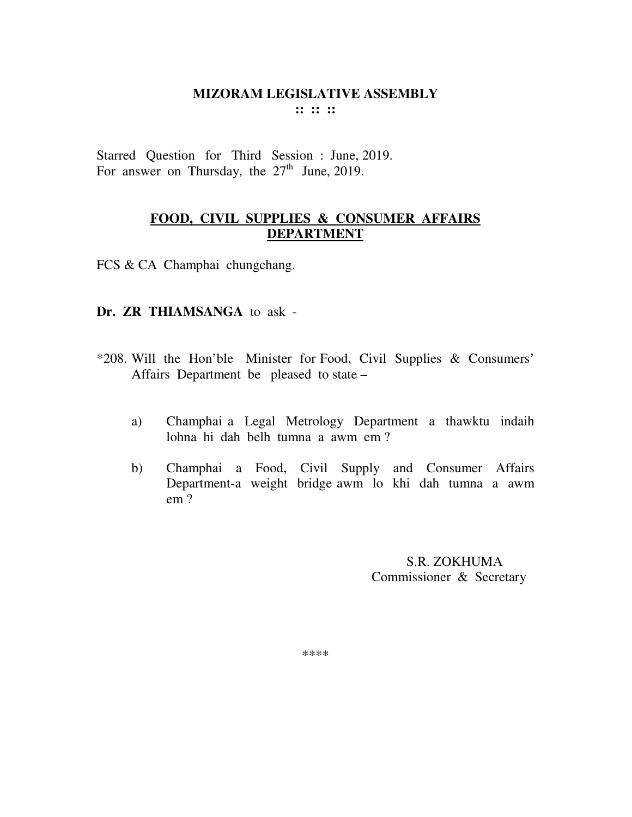Starred Question for Third Session : June, 2019. For answer on Thursday, the  $27<sup>th</sup>$  June, 2019.

## **FOOD, CIVIL SUPPLIES & CONSUMER AFFAIRS DEPARTMENT**

FCS & CA Champhai chungchang.

#### **Dr. ZR THIAMSANGA** to ask -

- \*208. Will the Hon'ble Minister for Food, Civil Supplies & Consumers' Affairs Department be pleased to state –
	- a) Champhai a Legal Metrology Department a thawktu indaih lohna hi dah belh tumna a awm em ?
	- b) Champhai a Food, Civil Supply and Consumer Affairs Department-a weight bridge awm lo khi dah tumna a awm em ?

 S.R. ZOKHUMA Commissioner & Secretary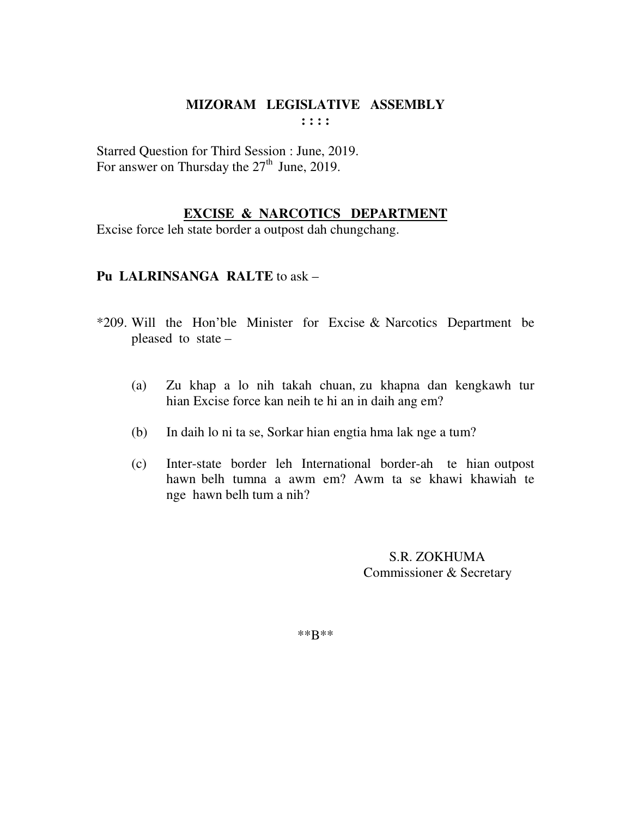Starred Question for Third Session : June, 2019. For answer on Thursday the  $27<sup>th</sup>$  June, 2019.

# **EXCISE & NARCOTICS DEPARTMENT**

Excise force leh state border a outpost dah chungchang.

# **Pu LALRINSANGA RALTE** to ask –

- \*209. Will the Hon'ble Minister for Excise & Narcotics Department be pleased to state –
	- (a) Zu khap a lo nih takah chuan, zu khapna dan kengkawh tur hian Excise force kan neih te hi an in daih ang em?
	- (b) In daih lo ni ta se, Sorkar hian engtia hma lak nge a tum?
	- (c) Inter-state border leh International border-ah te hian outpost hawn belh tumna a awm em? Awm ta se khawi khawiah te nge hawn belh tum a nih?

 S.R. ZOKHUMA Commissioner & Secretary

\*\*B\*\*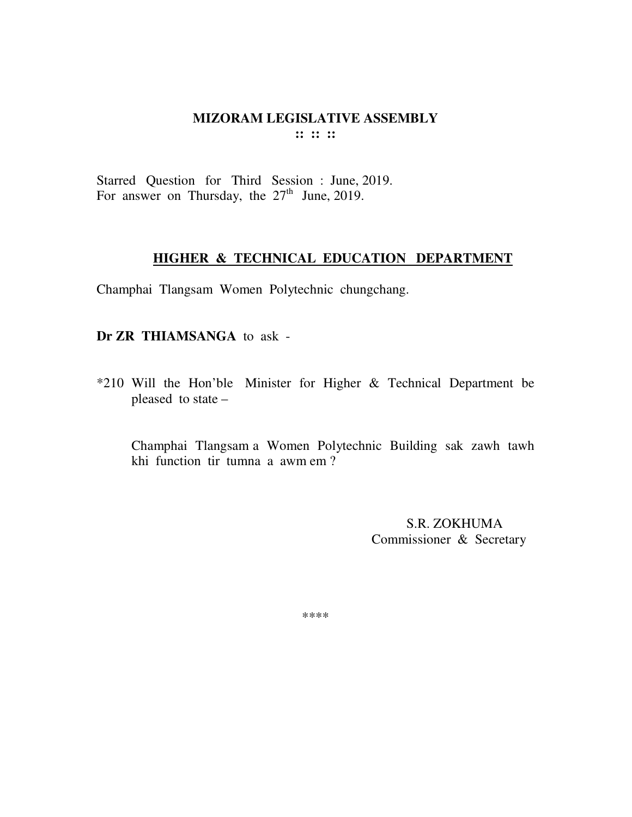Starred Question for Third Session : June, 2019. For answer on Thursday, the  $27<sup>th</sup>$  June, 2019.

# **HIGHER & TECHNICAL EDUCATION DEPARTMENT**

Champhai Tlangsam Women Polytechnic chungchang.

**Dr ZR THIAMSANGA** to ask -

\*210 Will the Hon'ble Minister for Higher & Technical Department be pleased to state –

Champhai Tlangsam a Women Polytechnic Building sak zawh tawh khi function tir tumna a awm em ?

> S.R. ZOKHUMA Commissioner & Secretary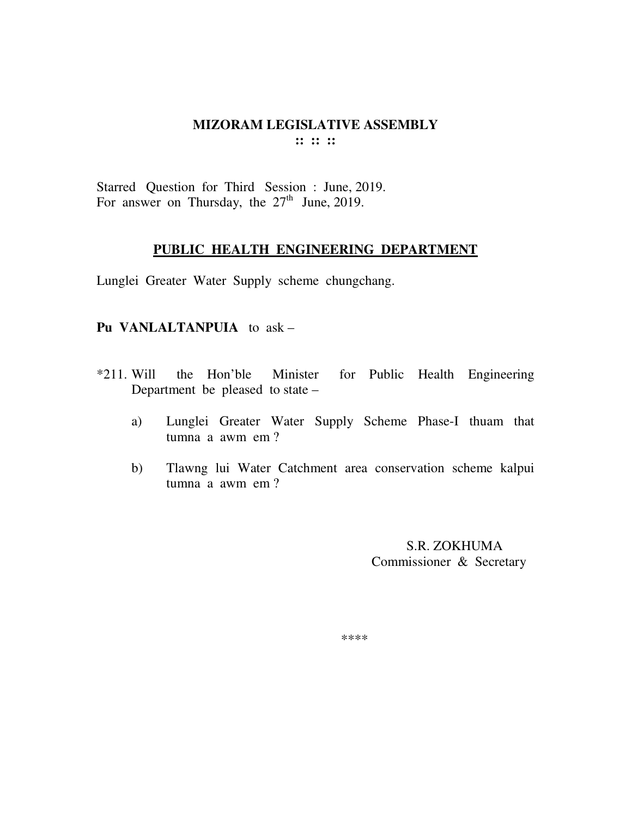#### **MIZORAM LEGISLATIVE ASSEMBLY**  $\mathbf{::} :: \mathbf{::}$

Starred Question for Third Session : June, 2019. For answer on Thursday, the  $27<sup>th</sup>$  June, 2019.

#### PUBLIC HEALTH ENGINEERING DEPARTMENT

Lunglei Greater Water Supply scheme chungchang.

#### Pu VANLALTANPUIA to ask -

- $*211.$  Will the Hon'ble Minister for Public Health Engineering Department be pleased to state -
	- Lunglei Greater Water Supply Scheme Phase-I thuam that  $a)$ tumna a awm em?
	- Tlawng lui Water Catchment area conservation scheme kalpui  $b)$ tumna a awm em?

S.R. ZOKHUMA Commissioner & Secretary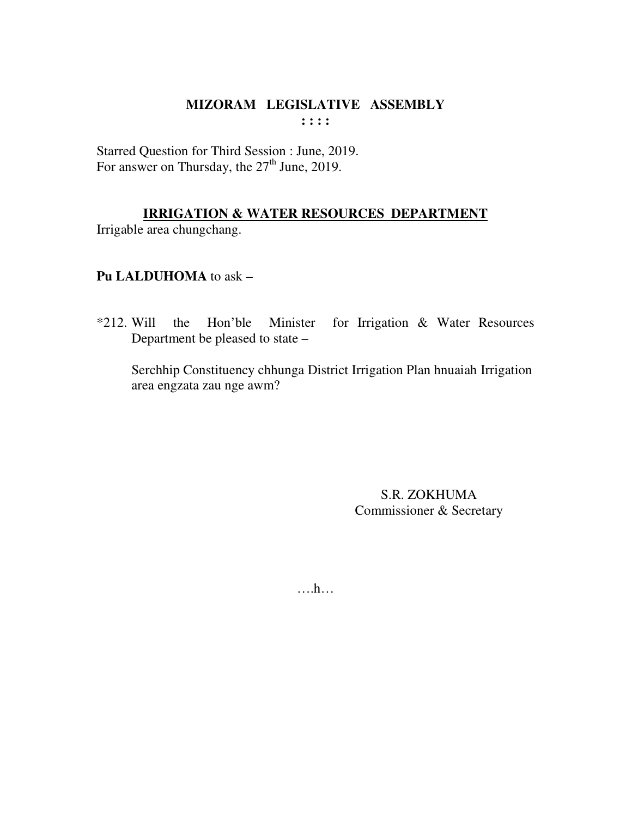Starred Question for Third Session : June, 2019. For answer on Thursday, the  $27<sup>th</sup>$  June, 2019.

# **IRRIGATION & WATER RESOURCES DEPARTMENT**

Irrigable area chungchang.

# Pu LALDUHOMA to ask -

Minister for Irrigation & Water Resources  $*212$ . Will the Hon'ble Department be pleased to state –

Serchhip Constituency chhunga District Irrigation Plan hnuaiah Irrigation area engzata zau nge awm?

> **S.R. ZOKHUMA** Commissioner & Secretary

 $\dots$ ...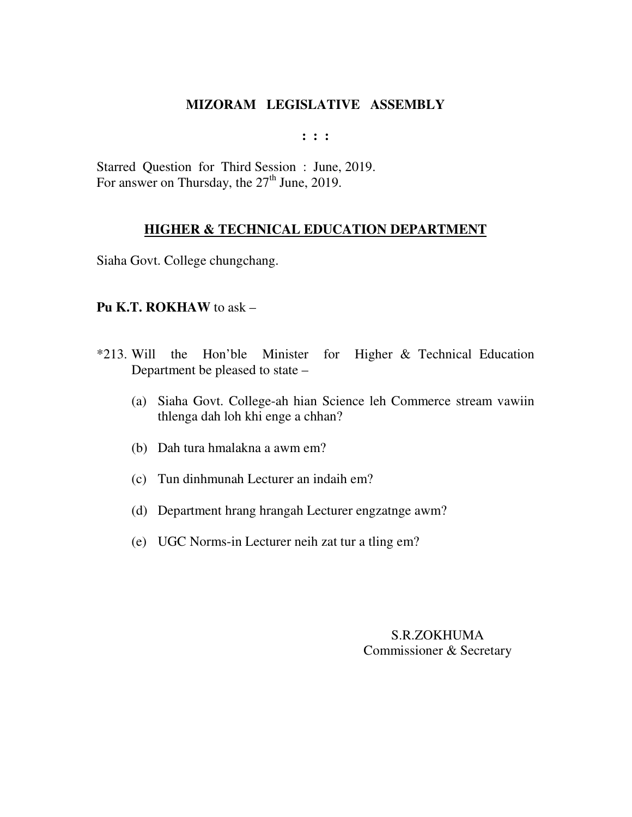**: : :** 

Starred Question for Third Session : June, 2019. For answer on Thursday, the 27<sup>th</sup> June, 2019.

# **HIGHER & TECHNICAL EDUCATION DEPARTMENT**

Siaha Govt. College chungchang.

## **Pu K.T. ROKHAW** to ask –

- \*213. Will the Hon'ble Minister for Higher & Technical Education Department be pleased to state –
	- (a) Siaha Govt. College-ah hian Science leh Commerce stream vawiin thlenga dah loh khi enge a chhan?
	- (b) Dah tura hmalakna a awm em?
	- (c) Tun dinhmunah Lecturer an indaih em?
	- (d) Department hrang hrangah Lecturer engzatnge awm?
	- (e) UGC Norms-in Lecturer neih zat tur a tling em?

S.R.ZOKHUMA Commissioner & Secretary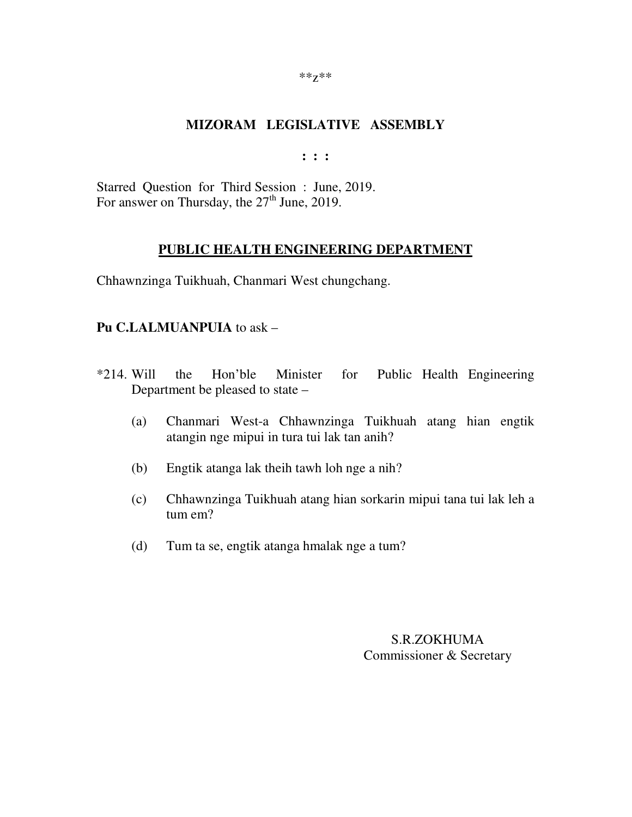**: : :** 

Starred Question for Third Session : June, 2019. For answer on Thursday, the  $27<sup>th</sup>$  June, 2019.

#### **PUBLIC HEALTH ENGINEERING DEPARTMENT**

Chhawnzinga Tuikhuah, Chanmari West chungchang.

#### **Pu C.LALMUANPUIA** to ask –

- \*214. Will the Hon'ble Minister for Public Health Engineering Department be pleased to state –
	- (a) Chanmari West-a Chhawnzinga Tuikhuah atang hian engtik atangin nge mipui in tura tui lak tan anih?
	- (b) Engtik atanga lak theih tawh loh nge a nih?
	- (c) Chhawnzinga Tuikhuah atang hian sorkarin mipui tana tui lak leh a tum em?
	- (d) Tum ta se, engtik atanga hmalak nge a tum?

S.R.ZOKHUMA Commissioner & Secretary